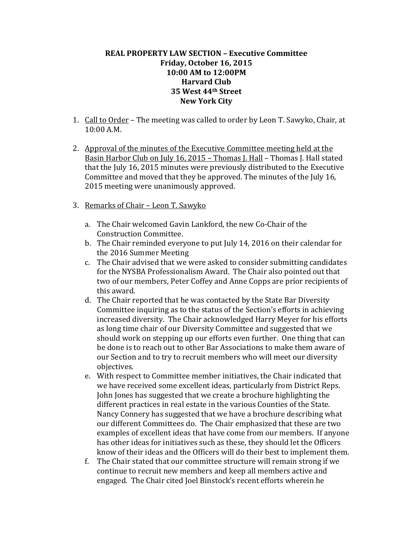## **REAL PROPERTY LAW SECTION – Executive Committee Friday, October 16, 2015 10:00 AM to 12:00PM Harvard Club 35 West 44th Street New York City**

- 1. Call to Order The meeting was called to order by Leon T. Sawyko, Chair, at 10:00 A.M.
- 2. Approval of the minutes of the Executive Committee meeting held at the Basin Harbor Club on July 16, 2015 – Thomas J. Hall – Thomas J. Hall stated that the July 16, 2015 minutes were previously distributed to the Executive Committee and moved that they be approved. The minutes of the July 16, 2015 meeting were unanimously approved.
- 3. Remarks of Chair Leon T. Sawyko
	- a. The Chair welcomed Gavin Lankford, the new Co-Chair of the Construction Committee.
	- b. The Chair reminded everyone to put July 14, 2016 on their calendar for the 2016 Summer Meeting
	- c. The Chair advised that we were asked to consider submitting candidates for the NYSBA Professionalism Award. The Chair also pointed out that two of our members, Peter Coffey and Anne Copps are prior recipients of this award.
	- d. The Chair reported that he was contacted by the State Bar Diversity Committee inquiring as to the status of the Section's efforts in achieving increased diversity. The Chair acknowledged Harry Meyer for his efforts as long time chair of our Diversity Committee and suggested that we should work on stepping up our efforts even further. One thing that can be done is to reach out to other Bar Associations to make them aware of our Section and to try to recruit members who will meet our diversity objectives.
	- e. With respect to Committee member initiatives, the Chair indicated that we have received some excellent ideas, particularly from District Reps. John Jones has suggested that we create a brochure highlighting the different practices in real estate in the various Counties of the State. Nancy Connery has suggested that we have a brochure describing what our different Committees do. The Chair emphasized that these are two examples of excellent ideas that have come from our members. If anyone has other ideas for initiatives such as these, they should let the Officers know of their ideas and the Officers will do their best to implement them.
	- f. The Chair stated that our committee structure will remain strong if we continue to recruit new members and keep all members active and engaged. The Chair cited Joel Binstock's recent efforts wherein he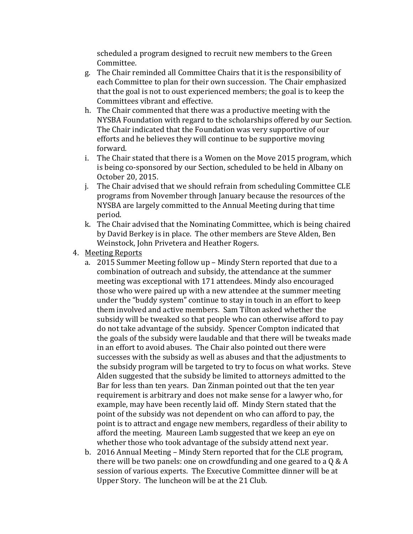scheduled a program designed to recruit new members to the Green Committee.

- g. The Chair reminded all Committee Chairs that it is the responsibility of each Committee to plan for their own succession. The Chair emphasized that the goal is not to oust experienced members; the goal is to keep the Committees vibrant and effective.
- h. The Chair commented that there was a productive meeting with the NYSBA Foundation with regard to the scholarships offered by our Section. The Chair indicated that the Foundation was very supportive of our efforts and he believes they will continue to be supportive moving forward.
- i. The Chair stated that there is a Women on the Move 2015 program, which is being co-sponsored by our Section, scheduled to be held in Albany on October 20, 2015.
- j. The Chair advised that we should refrain from scheduling Committee CLE programs from November through January because the resources of the NYSBA are largely committed to the Annual Meeting during that time period.
- k. The Chair advised that the Nominating Committee, which is being chaired by David Berkey is in place. The other members are Steve Alden, Ben Weinstock, John Privetera and Heather Rogers.
- 4. Meeting Reports
	- a. 2015 Summer Meeting follow up Mindy Stern reported that due to a combination of outreach and subsidy, the attendance at the summer meeting was exceptional with 171 attendees. Mindy also encouraged those who were paired up with a new attendee at the summer meeting under the "buddy system" continue to stay in touch in an effort to keep them involved and active members. Sam Tilton asked whether the subsidy will be tweaked so that people who can otherwise afford to pay do not take advantage of the subsidy. Spencer Compton indicated that the goals of the subsidy were laudable and that there will be tweaks made in an effort to avoid abuses. The Chair also pointed out there were successes with the subsidy as well as abuses and that the adjustments to the subsidy program will be targeted to try to focus on what works. Steve Alden suggested that the subsidy be limited to attorneys admitted to the Bar for less than ten years. Dan Zinman pointed out that the ten year requirement is arbitrary and does not make sense for a lawyer who, for example, may have been recently laid off. Mindy Stern stated that the point of the subsidy was not dependent on who can afford to pay, the point is to attract and engage new members, regardless of their ability to afford the meeting. Maureen Lamb suggested that we keep an eye on whether those who took advantage of the subsidy attend next year.
	- b. 2016 Annual Meeting Mindy Stern reported that for the CLE program, there will be two panels: one on crowdfunding and one geared to a Q & A session of various experts. The Executive Committee dinner will be at Upper Story. The luncheon will be at the 21 Club.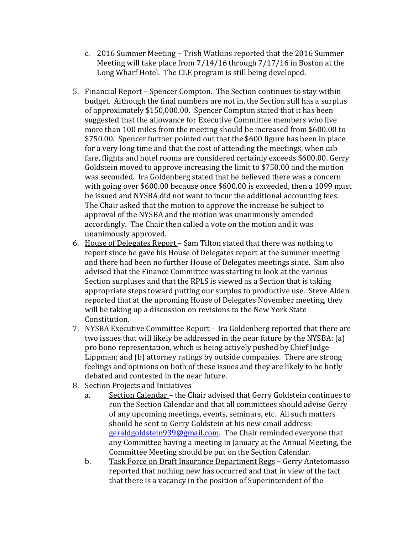- c. 2016 Summer Meeting Trish Watkins reported that the 2016 Summer Meeting will take place from 7/14/16 through 7/17/16 in Boston at the Long Wharf Hotel. The CLE program is still being developed.
- 5. Financial Report Spencer Compton. The Section continues to stay within budget. Although the final numbers are not in, the Section still has a surplus of approximately \$150,000.00. Spencer Compton stated that it has been suggested that the allowance for Executive Committee members who live more than 100 miles from the meeting should be increased from \$600.00 to \$750.00. Spencer further pointed out that the \$600 figure has been in place for a very long time and that the cost of attending the meetings, when cab fare, flights and hotel rooms are considered certainly exceeds \$600.00. Gerry Goldstein moved to approve increasing the limit to \$750.00 and the motion was seconded. Ira Goldenberg stated that he believed there was a concern with going over \$600.00 because once \$600.00 is exceeded, then a 1099 must be issued and NYSBA did not want to incur the additional accounting fees. The Chair asked that the motion to approve the increase be subject to approval of the NYSBA and the motion was unanimously amended accordingly. The Chair then called a vote on the motion and it was unanimously approved.
- 6. House of Delegates Report Sam Tilton stated that there was nothing to report since he gave his House of Delegates report at the summer meeting and there had been no further House of Delegates meetings since. Sam also advised that the Finance Committee was starting to look at the various Section surpluses and that the RPLS is viewed as a Section that is taking appropriate steps toward putting our surplus to productive use. Steve Alden reported that at the upcoming House of Delegates November meeting, they will be taking up a discussion on revisions to the New York State Constitution.
- 7. NYSBA Executive Committee Report Ira Goldenberg reported that there are two issues that will likely be addressed in the near future by the NYSBA: (a) pro bono representation, which is being actively pushed by Chief Judge Lippman; and (b) attorney ratings by outside companies. There are strong feelings and opinions on both of these issues and they are likely to be hotly debated and contested in the near future.
- 8. Section Projects and Initiatives
	- a. Section Calendar the Chair advised that Gerry Goldstein continues to run the Section Calendar and that all committees should advise Gerry of any upcoming meetings, events, seminars, etc. All such matters should be sent to Gerry Goldstein at his new email address: [geraldgoldstein939@gmail.com.](mailto:geraldgoldstein939@gmail.com) The Chair reminded everyone that any Committee having a meeting in January at the Annual Meeting, the Committee Meeting should be put on the Section Calendar.
	- b. Task Force on Draft Insurance Department Regs Gerry Antetomasso reported that nothing new has occurred and that in view of the fact that there is a vacancy in the position of Superintendent of the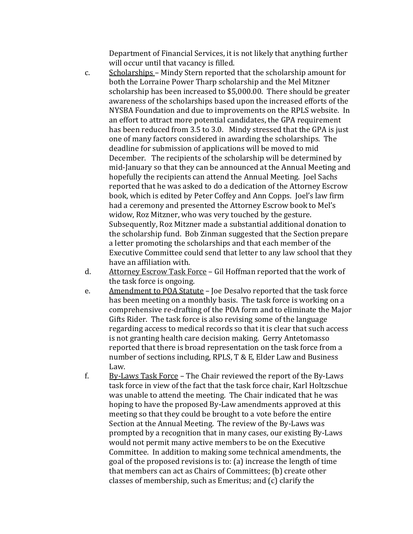Department of Financial Services, it is not likely that anything further will occur until that vacancy is filled.

- c. Scholarships Mindy Stern reported that the scholarship amount for both the Lorraine Power Tharp scholarship and the Mel Mitzner scholarship has been increased to \$5,000.00. There should be greater awareness of the scholarships based upon the increased efforts of the NYSBA Foundation and due to improvements on the RPLS website. In an effort to attract more potential candidates, the GPA requirement has been reduced from 3.5 to 3.0. Mindy stressed that the GPA is just one of many factors considered in awarding the scholarships. The deadline for submission of applications will be moved to mid December. The recipients of the scholarship will be determined by mid-January so that they can be announced at the Annual Meeting and hopefully the recipients can attend the Annual Meeting. Joel Sachs reported that he was asked to do a dedication of the Attorney Escrow book, which is edited by Peter Coffey and Ann Copps. Joel's law firm had a ceremony and presented the Attorney Escrow book to Mel's widow, Roz Mitzner, who was very touched by the gesture. Subsequently, Roz Mitzner made a substantial additional donation to the scholarship fund. Bob Zinman suggested that the Section prepare a letter promoting the scholarships and that each member of the Executive Committee could send that letter to any law school that they have an affiliation with.
- d. Attorney Escrow Task Force Gil Hoffman reported that the work of the task force is ongoing.
- e. Amendment to POA Statute Joe Desalvo reported that the task force has been meeting on a monthly basis. The task force is working on a comprehensive re-drafting of the POA form and to eliminate the Major Gifts Rider. The task force is also revising some of the language regarding access to medical records so that it is clear that such access is not granting health care decision making. Gerry Antetomasso reported that there is broad representation on the task force from a number of sections including, RPLS, T & E, Elder Law and Business Law.
- f. By-Laws Task Force The Chair reviewed the report of the By-Laws task force in view of the fact that the task force chair, Karl Holtzschue was unable to attend the meeting. The Chair indicated that he was hoping to have the proposed By-Law amendments approved at this meeting so that they could be brought to a vote before the entire Section at the Annual Meeting. The review of the By-Laws was prompted by a recognition that in many cases, our existing By-Laws would not permit many active members to be on the Executive Committee. In addition to making some technical amendments, the goal of the proposed revisions is to: (a) increase the length of time that members can act as Chairs of Committees; (b) create other classes of membership, such as Emeritus; and (c) clarify the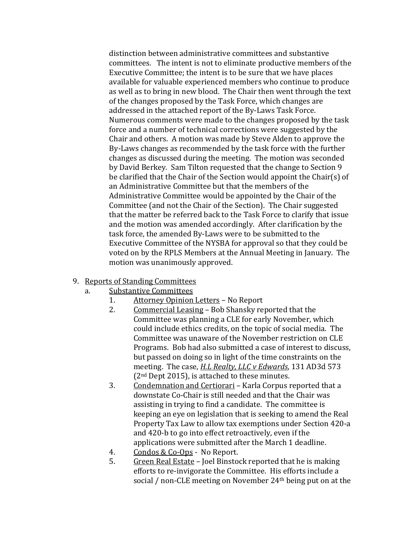distinction between administrative committees and substantive committees. The intent is not to eliminate productive members of the Executive Committee; the intent is to be sure that we have places available for valuable experienced members who continue to produce as well as to bring in new blood. The Chair then went through the text of the changes proposed by the Task Force, which changes are addressed in the attached report of the By-Laws Task Force. Numerous comments were made to the changes proposed by the task force and a number of technical corrections were suggested by the Chair and others. A motion was made by Steve Alden to approve the By-Laws changes as recommended by the task force with the further changes as discussed during the meeting. The motion was seconded by David Berkey. Sam Tilton requested that the change to Section 9 be clarified that the Chair of the Section would appoint the Chair(s) of an Administrative Committee but that the members of the Administrative Committee would be appointed by the Chair of the Committee (and not the Chair of the Section). The Chair suggested that the matter be referred back to the Task Force to clarify that issue and the motion was amended accordingly. After clarification by the task force, the amended By-Laws were to be submitted to the Executive Committee of the NYSBA for approval so that they could be voted on by the RPLS Members at the Annual Meeting in January. The motion was unanimously approved.

## 9. Reports of Standing Committees<br>a. Substantive Committees

- Substantive Committees<br>1. Attorney Opinion
	- 1. Attorney Opinion Letters No Report<br>2. Commercial Leasing Bob Shansky re
	- Commercial Leasing Bob Shansky reported that the Committee was planning a CLE for early November, which could include ethics credits, on the topic of social media. The Committee was unaware of the November restriction on CLE Programs. Bob had also submitted a case of interest to discuss, but passed on doing so in light of the time constraints on the meeting. The case, *H.L Realty, LLC v Edwards*, 131 AD3d 573 (2nd Dept 2015), is attached to these minutes.
	- 3. Condemnation and Certiorari Karla Corpus reported that a downstate Co-Chair is still needed and that the Chair was assisting in trying to find a candidate. The committee is keeping an eye on legislation that is seeking to amend the Real Property Tax Law to allow tax exemptions under Section 420-a and 420-b to go into effect retroactively, even if the applications were submitted after the March 1 deadline.
	- 4. Condos & Co-Ops No Report.<br>5. Green Real Estate Joel Binsto
	- Green Real Estate Joel Binstock reported that he is making efforts to re-invigorate the Committee. His efforts include a social / non-CLE meeting on November 24th being put on at the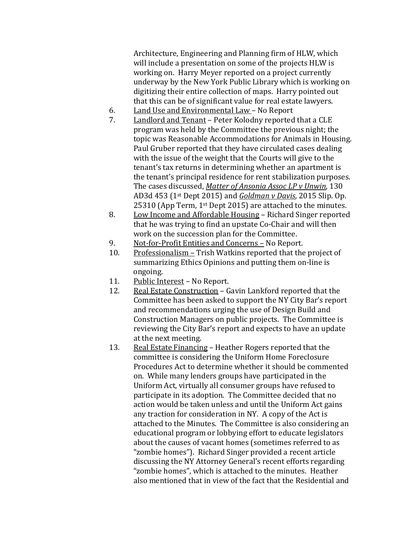Architecture, Engineering and Planning firm of HLW, which will include a presentation on some of the projects HLW is working on. Harry Meyer reported on a project currently underway by the New York Public Library which is working on digitizing their entire collection of maps. Harry pointed out that this can be of significant value for real estate lawyers.

- 6. Land Use and Environmental Law No Report<br>7. Landlord and Tenant Peter Kolodny reported
- Landlord and Tenant Peter Kolodny reported that a CLE program was held by the Committee the previous night; the topic was Reasonable Accommodations for Animals in Housing. Paul Gruber reported that they have circulated cases dealing with the issue of the weight that the Courts will give to the tenant's tax returns in determining whether an apartment is the tenant's principal residence for rent stabilization purposes. The cases discussed, *Matter of Ansonia Assoc LP v Unwin*, 130 AD3d 453 (1st Dept 2015) and *Goldman v Davis*, 2015 Slip. Op. 25310 (App Term, 1st Dept 2015) are attached to the minutes.
- 8. Low Income and Affordable Housing Richard Singer reported that he was trying to find an upstate Co-Chair and will then work on the succession plan for the Committee.
- 9. Not-for-Profit Entities and Concerns No Report.<br>10. Professionalism Trish Watkins reported that the
- Professionalism Trish Watkins reported that the project of summarizing Ethics Opinions and putting them on-line is ongoing.
- 11. Public Interest No Report.<br>12. Real Estate Construction G
- Real Estate Construction Gavin Lankford reported that the Committee has been asked to support the NY City Bar's report and recommendations urging the use of Design Build and Construction Managers on public projects. The Committee is reviewing the City Bar's report and expects to have an update at the next meeting.
- 13. Real Estate Financing Heather Rogers reported that the committee is considering the Uniform Home Foreclosure Procedures Act to determine whether it should be commented on. While many lenders groups have participated in the Uniform Act, virtually all consumer groups have refused to participate in its adoption. The Committee decided that no action would be taken unless and until the Uniform Act gains any traction for consideration in NY. A copy of the Act is attached to the Minutes. The Committee is also considering an educational program or lobbying effort to educate legislators about the causes of vacant homes (sometimes referred to as "zombie homes"). Richard Singer provided a recent article discussing the NY Attorney General's recent efforts regarding "zombie homes", which is attached to the minutes. Heather also mentioned that in view of the fact that the Residential and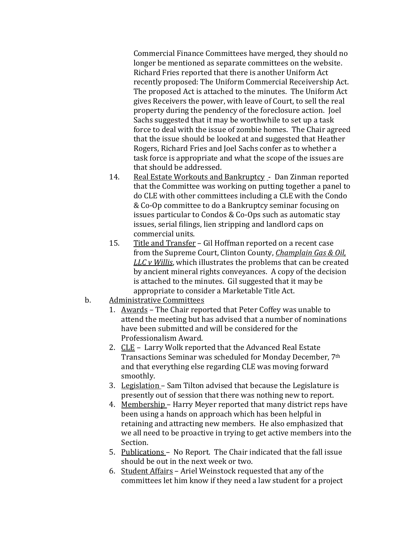Commercial Finance Committees have merged, they should no longer be mentioned as separate committees on the website. Richard Fries reported that there is another Uniform Act recently proposed: The Uniform Commercial Receivership Act. The proposed Act is attached to the minutes. The Uniform Act gives Receivers the power, with leave of Court, to sell the real property during the pendency of the foreclosure action. Joel Sachs suggested that it may be worthwhile to set up a task force to deal with the issue of zombie homes. The Chair agreed that the issue should be looked at and suggested that Heather Rogers, Richard Fries and Joel Sachs confer as to whether a task force is appropriate and what the scope of the issues are that should be addressed.

- 14. Real Estate Workouts and Bankruptcy Dan Zinman reported that the Committee was working on putting together a panel to do CLE with other committees including a CLE with the Condo & Co-Op committee to do a Bankruptcy seminar focusing on issues particular to Condos & Co-Ops such as automatic stay issues, serial filings, lien stripping and landlord caps on commercial units.
- 15. Title and Transfer Gil Hoffman reported on a recent case from the Supreme Court, Clinton County, *Champlain Gas & Oil, LLC v Willis*, which illustrates the problems that can be created by ancient mineral rights conveyances. A copy of the decision is attached to the minutes. Gil suggested that it may be appropriate to consider a Marketable Title Act.
- b. Administrative Committees
	- 1. Awards The Chair reported that Peter Coffey was unable to attend the meeting but has advised that a number of nominations have been submitted and will be considered for the Professionalism Award.
	- 2. CLE Larry Wolk reported that the Advanced Real Estate Transactions Seminar was scheduled for Monday December, 7th and that everything else regarding CLE was moving forward smoothly.
	- 3. Legislation Sam Tilton advised that because the Legislature is presently out of session that there was nothing new to report.
	- 4. Membership Harry Meyer reported that many district reps have been using a hands on approach which has been helpful in retaining and attracting new members. He also emphasized that we all need to be proactive in trying to get active members into the Section.
	- 5. Publications No Report. The Chair indicated that the fall issue should be out in the next week or two.
	- 6. Student Affairs Ariel Weinstock requested that any of the committees let him know if they need a law student for a project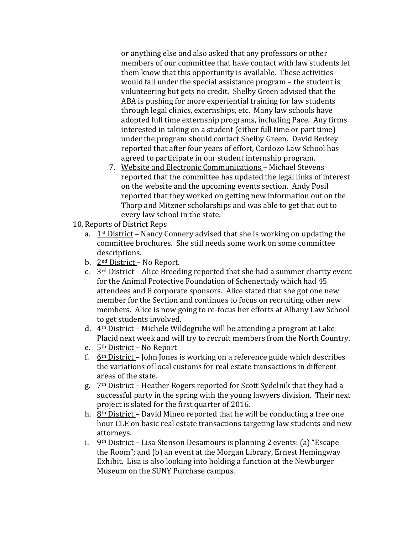or anything else and also asked that any professors or other members of our committee that have contact with law students let them know that this opportunity is available. These activities would fall under the special assistance program – the student is volunteering but gets no credit. Shelby Green advised that the ABA is pushing for more experiential training for law students through legal clinics, externships, etc. Many law schools have adopted full time externship programs, including Pace. Any firms interested in taking on a student (either full time or part time) under the program should contact Shelby Green. David Berkey reported that after four years of effort, Cardozo Law School has agreed to participate in our student internship program.

- 7. Website and Electronic Communications Michael Stevens reported that the committee has updated the legal links of interest on the website and the upcoming events section. Andy Posil reported that they worked on getting new information out on the Tharp and Mitzner scholarships and was able to get that out to every law school in the state.
- 10. Reports of District Reps
	- a.  $1<sup>st</sup>$  District Nancy Connery advised that she is working on updating the committee brochures. She still needs some work on some committee descriptions.
	- b. 2<sup>nd</sup> District No Report.
	- c.  $3<sup>rd</sup>$  District Alice Breeding reported that she had a summer charity event for the Animal Protective Foundation of Schenectady which had 45 attendees and 8 corporate sponsors. Alice stated that she got one new member for the Section and continues to focus on recruiting other new members. Alice is now going to re-focus her efforts at Albany Law School to get students involved.
	- d. 4th District Michele Wildegrube will be attending a program at Lake Placid next week and will try to recruit members from the North Country.
	- e. 5th District No Report
	- f.  $6<sup>th</sup> District John Jones is working on a reference guide which describes$ the variations of local customs for real estate transactions in different areas of the state.
	- g. 7<sup>th</sup> District Heather Rogers reported for Scott Sydelnik that they had a successful party in the spring with the young lawyers division. Their next project is slated for the first quarter of 2016.
	- h. 8<sup>th</sup> District David Mineo reported that he will be conducting a free one hour CLE on basic real estate transactions targeting law students and new attorneys.
	- i. 9th District Lisa Stenson Desamours is planning 2 events: (a) "Escape the Room"; and (b) an event at the Morgan Library, Ernest Hemingway Exhibit. Lisa is also looking into holding a function at the Newburger Museum on the SUNY Purchase campus.